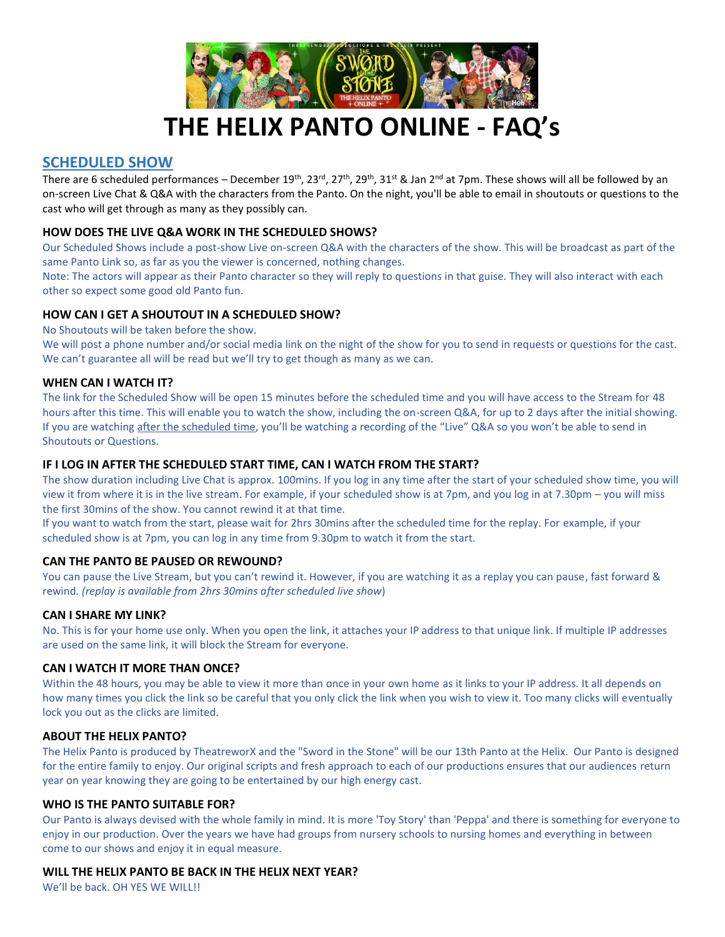

# **THE HELIX PANTO ONLINE - FAQ's**

# **SCHEDULED SHOW**

There are 6 scheduled performances – December  $19^{th}$ ,  $23^{rd}$ ,  $27^{th}$ ,  $29^{th}$ ,  $31^{st}$  & Jan  $2^{nd}$  at 7pm. These shows will all be followed by an on-screen Live Chat & Q&A with the characters from the Panto. On the night, you'll be able to email in shoutouts or questions to the cast who will get through as many as they possibly can.

# **HOW DOES THE LIVE Q&A WORK IN THE SCHEDULED SHOWS?**

Our Scheduled Shows include a post-show Live on-screen Q&A with the characters of the show. This will be broadcast as part of the same Panto Link so, as far as you the viewer is concerned, nothing changes.

Note: The actors will appear as their Panto character so they will reply to questions in that guise. They will also interact with each other so expect some good old Panto fun.

# **HOW CAN I GET A SHOUTOUT IN A SCHEDULED SHOW?**

No Shoutouts will be taken before the show.

We will post a phone number and/or social media link on the night of the show for you to send in requests or questions for the cast. We can't guarantee all will be read but we'll try to get though as many as we can.

# **WHEN CAN I WATCH IT?**

The link for the Scheduled Show will be open 15 minutes before the scheduled time and you will have access to the Stream for 48 hours after this time. This will enable you to watch the show, including the on-screen Q&A, for up to 2 days after the initial showing. If you are watching after the scheduled time, you'll be watching a recording of the "Live" Q&A so you won't be able to send in Shoutouts or Questions.

# **IF I LOG IN AFTER THE SCHEDULED START TIME, CAN I WATCH FROM THE START?**

The show duration including Live Chat is approx. 100mins. If you log in any time after the start of your scheduled show time, you will view it from where it is in the live stream. For example, if your scheduled show is at 7pm, and you log in at 7.30pm – you will miss the first 30mins of the show. You cannot rewind it at that time.

If you want to watch from the start, please wait for 2hrs 30mins after the scheduled time for the replay. For example, if your scheduled show is at 7pm, you can log in any time from 9.30pm to watch it from the start.

# **CAN THE PANTO BE PAUSED OR REWOUND?**

You can pause the Live Stream, but you can't rewind it. However, if you are watching it as a replay you can pause, fast forward & rewind*. (replay is available from 2hrs 30mins after scheduled live show*)

# **CAN I SHARE MY LINK?**

No. This is for your home use only. When you open the link, it attaches your IP address to that unique link. If multiple IP addresses are used on the same link, it will block the Stream for everyone.

# **CAN I WATCH IT MORE THAN ONCE?**

Within the 48 hours, you may be able to view it more than once in your own home as it links to your IP address. It all depends on how many times you click the link so be careful that you only click the link when you wish to view it. Too many clicks will eventually lock you out as the clicks are limited.

# **ABOUT THE HELIX PANTO?**

The Helix Panto is produced by TheatreworX and the "Sword in the Stone" will be our 13th Panto at the Helix. Our Panto is designed for the entire family to enjoy. Our original scripts and fresh approach to each of our productions ensures that our audiences return year on year knowing they are going to be entertained by our high energy cast.

# **WHO IS THE PANTO SUITABLE FOR?**

Our Panto is always devised with the whole family in mind. It is more 'Toy Story' than 'Peppa' and there is something for everyone to enjoy in our production. Over the years we have had groups from nursery schools to nursing homes and everything in between come to our shows and enjoy it in equal measure.

# **WILL THE HELIX PANTO BE BACK IN THE HELIX NEXT YEAR?**

We'll be back. OH YES WE WILL!!